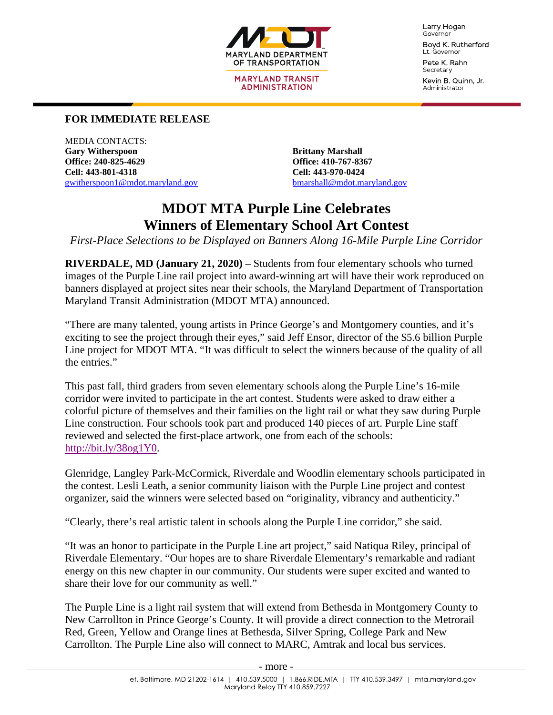

**MARYLAND TRANSIT ADMINISTRATION** 

Larry Hogan Governor

Boyd K. Rutherford Lt. Governor Pete K. Rahn

Secretary Kevin B. Quinn, Jr. Administrator

## **FOR IMMEDIATE RELEASE**

MEDIA CONTACTS: **Gary Witherspoon Brittany Marshall Office: 240-825-4629 Office: 410-767-8367 Cell: 443-801-4318 Cell: 443-970-0424** [gwitherspoon1@mdot.maryland.gov](mailto:gwitherspoon1@mdot.maryland.gov) [bmarshall@mdot.maryland.gov](mailto:bmarshall@mdot.maryland.gov)

## **MDOT MTA Purple Line Celebrates Winners of Elementary School Art Contest**

*First-Place Selections to be Displayed on Banners Along 16-Mile Purple Line Corridor*

**RIVERDALE, MD (January 21, 2020)** – Students from four elementary schools who turned images of the Purple Line rail project into award-winning art will have their work reproduced on banners displayed at project sites near their schools, the Maryland Department of Transportation Maryland Transit Administration (MDOT MTA) announced.

"There are many talented, young artists in Prince George's and Montgomery counties, and it's exciting to see the project through their eyes," said Jeff Ensor, director of the \$5.6 billion Purple Line project for MDOT MTA. "It was difficult to select the winners because of the quality of all the entries."

This past fall, third graders from seven elementary schools along the Purple Line's 16-mile corridor were invited to participate in the art contest. Students were asked to draw either a colorful picture of themselves and their families on the light rail or what they saw during Purple Line construction. Four schools took part and produced 140 pieces of art. Purple Line staff reviewed and selected the first-place artwork, one from each of the schools: [http://bit.ly/38og1Y0.](http://bit.ly/38og1Y0)

Glenridge, Langley Park-McCormick, Riverdale and Woodlin elementary schools participated in the contest. Lesli Leath, a senior community liaison with the Purple Line project and contest organizer, said the winners were selected based on "originality, vibrancy and authenticity."

"Clearly, there's real artistic talent in schools along the Purple Line corridor," she said.

"It was an honor to participate in the Purple Line art project," said Natiqua Riley, principal of Riverdale Elementary. "Our hopes are to share Riverdale Elementary's remarkable and radiant energy on this new chapter in our community. Our students were super excited and wanted to share their love for our community as well."

The Purple Line is a light rail system that will extend from Bethesda in Montgomery County to New Carrollton in Prince George's County. It will provide a direct connection to the Metrorail Red, Green, Yellow and Orange lines at Bethesda, Silver Spring, College Park and New Carrollton. The Purple Line also will connect to MARC, Amtrak and local bus services.

- more -